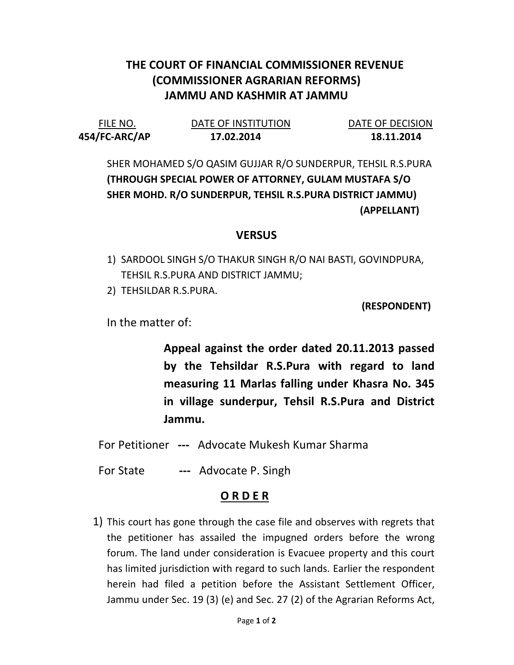## THE COURT OF FINANCIAL COMMISSIONER REVENUE (COMMISSIONER AGRARIAN REFORMS) JAMMU AND KASHMIR AT JAMMU

| FILE NO.      | DATE OF INSTITUTION | DATE OF DECISION |
|---------------|---------------------|------------------|
| 454/FC-ARC/AP | 17.02.2014          | 18.11.2014       |

SHER MOHAMED S/O QASIM GUJJAR R/O SUNDERPUR, TEHSIL R.S.PURA (THROUGH SPECIAL POWER OF ATTORNEY, GULAM MUSTAFA S/O SHER MOHD. R/O SUNDERPUR, TEHSIL R.S.PURA DISTRICT JAMMU) (APPELLANT)

## **VERSUS**

- 1) SARDOOL SINGH S/O THAKUR SINGH R/O NAI BASTI, GOVINDPURA, TEHSIL R.S.PURA AND DISTRICT JAMMU;
- 2) TEHSILDAR R.S.PURA.

(RESPONDENT)

In the matter of:

Appeal against the order dated 20.11.2013 passed by the Tehsildar R.S.Pura with regard to land measuring 11 Marlas falling under Khasra No. 345 in village sunderpur, Tehsil R.S.Pura and District Jammu.

- For Petitioner --- Advocate Mukesh Kumar Sharma
- For State --- Advocate P. Singh

## O R D E R

1) This court has gone through the case file and observes with regrets that the petitioner has assailed the impugned orders before the wrong forum. The land under consideration is Evacuee property and this court has limited jurisdiction with regard to such lands. Earlier the respondent herein had filed a petition before the Assistant Settlement Officer, Jammu under Sec. 19 (3) (e) and Sec. 27 (2) of the Agrarian Reforms Act,